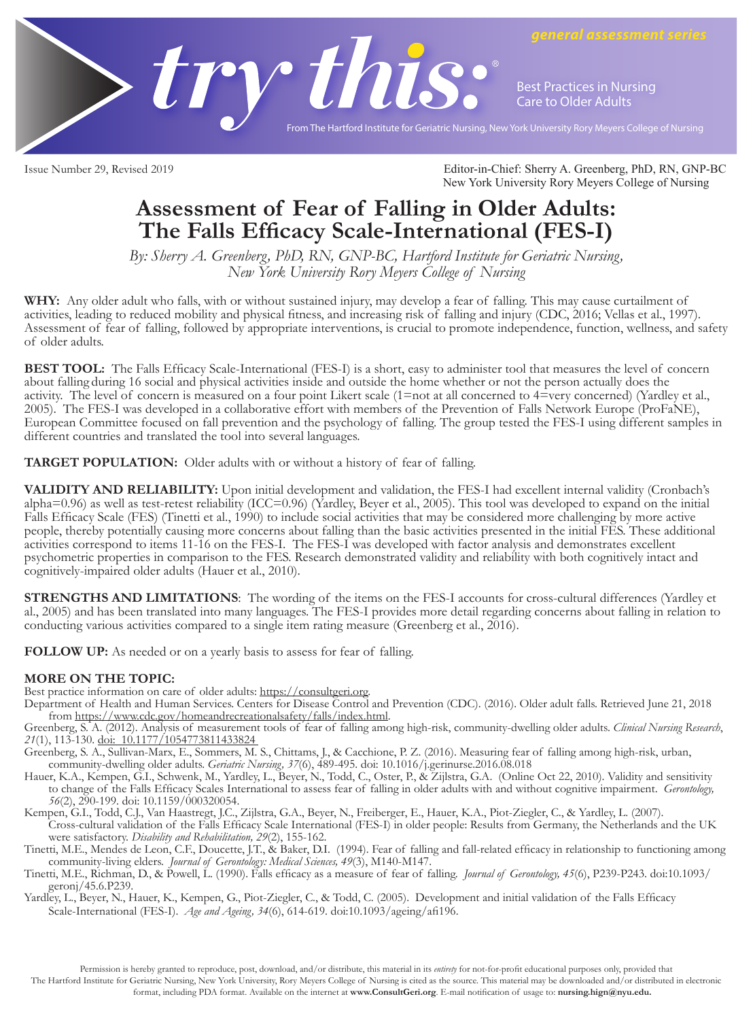

**Best Practices in Nursing Care to Older Adults**

*general assessment series*

From The Hartford Institute for Geriatric Nursing, New York University Rory Meyers College of Nursing

Issue Number 29, Revised 2019 Editor-in-Chief: Sherry A. Greenberg, PhD, RN, GNP-BC New York University Rory Meyers College of Nursing

## **Assessment of Fear of Falling in Older Adults: The Falls Efficacy Scale-International (FES-I)**

*By: Sherry A. Greenberg, PhD, RN, GNP-BC, Hartford Institute for Geriatric Nursing, New York University Rory Meyers College of Nursing*

**WHY:** Any older adult who falls, with or without sustained injury, may develop a fear of falling. This may cause curtailment of activities, leading to reduced mobility and physical fitness, and increasing risk of falling and injury (CDC, 2016; Vellas et al., 1997). Assessment of fear of falling, followed by appropriate interventions, is crucial to promote independence, function, wellness, and safety of older adults.

**BEST TOOL:** The Falls Efficacy Scale-International (FES-I) is a short, easy to administer tool that measures the level of concern about falling during 16 social and physical activities inside and outside the home whether or not the person actually does the activity. The level of concern is measured on a four point Likert scale (1=not at all concerned to 4=very concerned) (Yardley et al., 2005). The FES-I was developed in a collaborative effort with members of the Prevention of Falls Network Europe (ProFaNE), European Committee focused on fall prevention and the psychology of falling. The group tested the FES-I using different samples in different countries and translated the tool into several languages.

**TARGET POPULATION:** Older adults with or without a history of fear of falling.

**VALIDITY AND RELIABILITY:** Upon initial development and validation, the FES-I had excellent internal validity (Cronbach's alpha=0.96) as well as test-retest reliability (ICC=0.96) (Yardley, Beyer et al., 2005). This tool was developed to expand on the initial Falls Efficacy Scale (FES) (Tinetti et al., 1990) to include social activities that may be considered more challenging by more active people, thereby potentially causing more concerns about falling than the basic activities presented in the initial FES. These additional activities correspond to items 11-16 on the FES-I. The FES-I was developed with factor analysis and demonstrates excellent psychometric properties in comparison to the FES. Research demonstrated validity and reliability with both cognitively intact and cognitively-impaired older adults (Hauer et al., 2010).

**STRENGTHS AND LIMITATIONS**: The wording of the items on the FES-I accounts for cross-cultural differences (Yardley et al., 2005) and has been translated into many languages. The FES-I provides more detail regarding concerns about falling in relation to conducting various activities compared to a single item rating measure (Greenberg et al., 2016).

**FOLLOW UP:** As needed or on a yearly basis to assess for fear of falling.

**MORE ON THE TOPIC:**<br>Best practice information on care of older adults: https://consultgeri.org.

Department of Health and Human Services. Centers for Disease Control and Prevention (CDC). (2016). Older adult falls. Retrieved June 21, 2018

from https://www.cdc.gov/homeandrecreationalsafety/falls/index.html.<br>Greenberg, S. A. (2012). Analysis of measurement tools of fear of falling among high-risk, community-dwelling older adults. *Clinical Nursing Research*,

Greenberg, S. A., Sullivan-Marx, E., Sommers, M. S., Chittams, J., & Cacchione, P. Z. (2016). Measuring fear of falling among high-risk, urban, community-dwelling older adults. *Geriatric Nursing, 37*(6), 489-495. doi: 10.1016/j.gerinurse.2016.08.018

Hauer, K.A., Kempen, G.I., Schwenk, M., Yardley, L., Beyer, N., Todd, C., Oster, P., & Zijlstra, G.A. (Online Oct 22, 2010). Validity and sensitivity to change of the Falls Efficacy Scales International to assess fear of falling in older adults with and without cognitive impairment. *Gerontology, 56*(2), 290-199. doi: 10.1159/000320054.

Kempen, G.I., Todd, C.J., Van Haastregt, J.C., Zijlstra, G.A., Beyer, N., Freiberger, E., Hauer, K.A., Piot-Ziegler, C., & Yardley, L. (2007). Cross-cultural validation of the Falls Efficacy Scale International (FES-I) in older people: Results from Germany, the Netherlands and the UK were satisfactory. *Disability and Rehabilitation, 29*(2), 155-162.

Tinetti, M.E., Mendes de Leon, C.F., Doucette, J.T., & Baker, D.I. (1994). Fear of falling and fall-related efficacy in relationship to functioning among community-living elders. *Journal of Gerontology: Medical Sciences, 49*(3), M140-M147.

Tinetti, M.E., Richman, D., & Powell, L. (1990). Falls efficacy as a measure of fear of falling. *Journal of Gerontology, 45*(6), P239-P243. doi:10.1093/ geronj/45.6.P239.

Yardley, L., Beyer, N., Hauer, K., Kempen, G., Piot-Ziegler, C., & Todd, C. (2005). Development and initial validation of the Falls Efficacy Scale-International (FES-I). *Age and Ageing, 34*(6), 614-619. doi:10.1093/ageing/afi196.